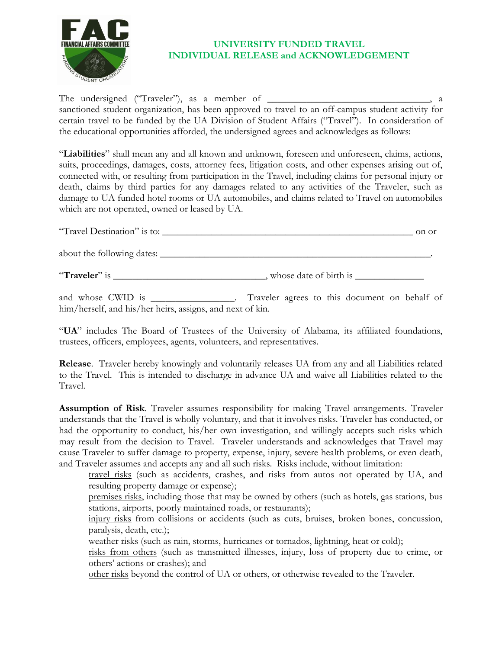

## **UNIVERSITY FUNDED TRAVEL INDIVIDUAL RELEASE and ACKNOWLEDGEMENT**

The undersigned ("Traveler"), as a member of \_\_\_\_\_\_\_\_\_\_\_\_\_\_\_\_\_\_\_\_\_\_\_\_\_\_\_\_\_\_\_\_\_, a sanctioned student organization, has been approved to travel to an off-campus student activity for certain travel to be funded by the UA Division of Student Affairs ("Travel"). In consideration of the educational opportunities afforded, the undersigned agrees and acknowledges as follows:

"**Liabilities**" shall mean any and all known and unknown, foreseen and unforeseen, claims, actions, suits, proceedings, damages, costs, attorney fees, litigation costs, and other expenses arising out of, connected with, or resulting from participation in the Travel, including claims for personal injury or death, claims by third parties for any damages related to any activities of the Traveler, such as damage to UA funded hotel rooms or UA automobiles, and claims related to Travel on automobiles which are not operated, owned or leased by UA.

| "Travel Destination" is to: | on or                  |
|-----------------------------|------------------------|
| about the following dates:  |                        |
| "Traveler" is               | whose date of birth is |

and whose CWID is \_\_\_\_\_\_\_\_\_\_\_\_\_\_. Traveler agrees to this document on behalf of him/herself, and his/her heirs, assigns, and next of kin.

"**UA**" includes The Board of Trustees of the University of Alabama, its affiliated foundations, trustees, officers, employees, agents, volunteers, and representatives.

**Release**. Traveler hereby knowingly and voluntarily releases UA from any and all Liabilities related to the Travel. This is intended to discharge in advance UA and waive all Liabilities related to the Travel.

**Assumption of Risk**. Traveler assumes responsibility for making Travel arrangements. Traveler understands that the Travel is wholly voluntary, and that it involves risks. Traveler has conducted, or had the opportunity to conduct, his/her own investigation, and willingly accepts such risks which may result from the decision to Travel. Traveler understands and acknowledges that Travel may cause Traveler to suffer damage to property, expense, injury, severe health problems, or even death, and Traveler assumes and accepts any and all such risks. Risks include, without limitation:

travel risks (such as accidents, crashes, and risks from autos not operated by UA, and resulting property damage or expense);

premises risks, including those that may be owned by others (such as hotels, gas stations, bus stations, airports, poorly maintained roads, or restaurants);

injury risks from collisions or accidents (such as cuts, bruises, broken bones, concussion, paralysis, death, etc.);

weather risks (such as rain, storms, hurricanes or tornados, lightning, heat or cold);

risks from others (such as transmitted illnesses, injury, loss of property due to crime, or others' actions or crashes); and

other risks beyond the control of UA or others, or otherwise revealed to the Traveler.